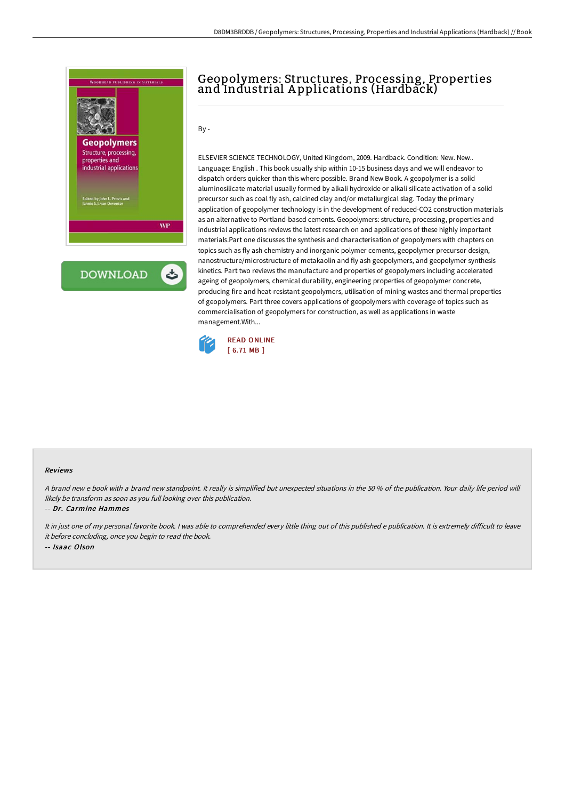

## Geopolymers: Structures, Processing, Properties and Industrial A pplications (Hardback)

By -

ELSEVIER SCIENCE TECHNOLOGY, United Kingdom, 2009. Hardback. Condition: New. New.. Language: English . This book usually ship within 10-15 business days and we will endeavor to dispatch orders quicker than this where possible. Brand New Book. A geopolymer is a solid aluminosilicate material usually formed by alkali hydroxide or alkali silicate activation of a solid precursor such as coal fly ash, calcined clay and/or metallurgical slag. Today the primary application of geopolymer technology is in the development of reduced-CO2 construction materials as an alternative to Portland-based cements. Geopolymers: structure, processing, properties and industrial applications reviews the latest research on and applications of these highly important materials.Part one discusses the synthesis and characterisation of geopolymers with chapters on topics such as fly ash chemistry and inorganic polymer cements, geopolymer precursor design, nanostructure/microstructure of metakaolin and fly ash geopolymers, and geopolymer synthesis kinetics. Part two reviews the manufacture and properties of geopolymers including accelerated ageing of geopolymers, chemical durability, engineering properties of geopolymer concrete, producing fire and heat-resistant geopolymers, utilisation of mining wastes and thermal properties of geopolymers. Part three covers applications of geopolymers with coverage of topics such as commercialisation of geopolymers for construction, as well as applications in waste management.With...



## Reviews

A brand new <sup>e</sup> book with <sup>a</sup> brand new standpoint. It really is simplified but unexpected situations in the 50 % of the publication. Your daily life period will likely be transform as soon as you full looking over this publication.

-- Dr. Carmine Hammes

It in just one of my personal favorite book. I was able to comprehended every little thing out of this published e publication. It is extremely difficult to leave it before concluding, once you begin to read the book. -- Isaac Olson